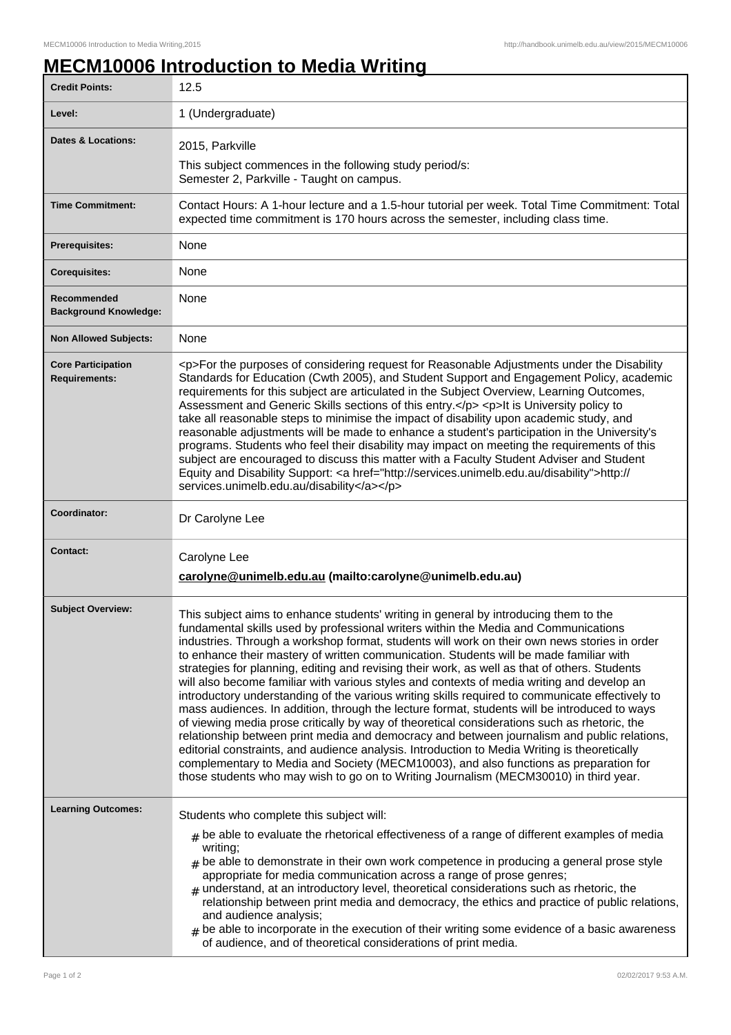## **MECM10006 Introduction to Media Writing**

| <b>Credit Points:</b>                             | 12.5                                                                                                                                                                                                                                                                                                                                                                                                                                                                                                                                                                                                                                                                                                                                                                                                                                                                                                                                                                                                                                                                                                                                                                                                                                                     |
|---------------------------------------------------|----------------------------------------------------------------------------------------------------------------------------------------------------------------------------------------------------------------------------------------------------------------------------------------------------------------------------------------------------------------------------------------------------------------------------------------------------------------------------------------------------------------------------------------------------------------------------------------------------------------------------------------------------------------------------------------------------------------------------------------------------------------------------------------------------------------------------------------------------------------------------------------------------------------------------------------------------------------------------------------------------------------------------------------------------------------------------------------------------------------------------------------------------------------------------------------------------------------------------------------------------------|
| Level:                                            | 1 (Undergraduate)                                                                                                                                                                                                                                                                                                                                                                                                                                                                                                                                                                                                                                                                                                                                                                                                                                                                                                                                                                                                                                                                                                                                                                                                                                        |
| <b>Dates &amp; Locations:</b>                     | 2015, Parkville                                                                                                                                                                                                                                                                                                                                                                                                                                                                                                                                                                                                                                                                                                                                                                                                                                                                                                                                                                                                                                                                                                                                                                                                                                          |
|                                                   | This subject commences in the following study period/s:<br>Semester 2, Parkville - Taught on campus.                                                                                                                                                                                                                                                                                                                                                                                                                                                                                                                                                                                                                                                                                                                                                                                                                                                                                                                                                                                                                                                                                                                                                     |
| <b>Time Commitment:</b>                           | Contact Hours: A 1-hour lecture and a 1.5-hour tutorial per week. Total Time Commitment: Total<br>expected time commitment is 170 hours across the semester, including class time.                                                                                                                                                                                                                                                                                                                                                                                                                                                                                                                                                                                                                                                                                                                                                                                                                                                                                                                                                                                                                                                                       |
| <b>Prerequisites:</b>                             | <b>None</b>                                                                                                                                                                                                                                                                                                                                                                                                                                                                                                                                                                                                                                                                                                                                                                                                                                                                                                                                                                                                                                                                                                                                                                                                                                              |
| <b>Corequisites:</b>                              | None                                                                                                                                                                                                                                                                                                                                                                                                                                                                                                                                                                                                                                                                                                                                                                                                                                                                                                                                                                                                                                                                                                                                                                                                                                                     |
| Recommended<br><b>Background Knowledge:</b>       | None                                                                                                                                                                                                                                                                                                                                                                                                                                                                                                                                                                                                                                                                                                                                                                                                                                                                                                                                                                                                                                                                                                                                                                                                                                                     |
| <b>Non Allowed Subjects:</b>                      | None                                                                                                                                                                                                                                                                                                                                                                                                                                                                                                                                                                                                                                                                                                                                                                                                                                                                                                                                                                                                                                                                                                                                                                                                                                                     |
| <b>Core Participation</b><br><b>Requirements:</b> | <p>For the purposes of considering request for Reasonable Adjustments under the Disability<br/>Standards for Education (Cwth 2005), and Student Support and Engagement Policy, academic<br/>requirements for this subject are articulated in the Subject Overview, Learning Outcomes,<br/>Assessment and Generic Skills sections of this entry.</p> <p>lt is University policy to<br/>take all reasonable steps to minimise the impact of disability upon academic study, and<br/>reasonable adjustments will be made to enhance a student's participation in the University's<br/>programs. Students who feel their disability may impact on meeting the requirements of this<br/>subject are encouraged to discuss this matter with a Faculty Student Adviser and Student<br/>Equity and Disability Support: &lt; a href="http://services.unimelb.edu.au/disability"&gt;http://<br/>services.unimelb.edu.au/disability</p>                                                                                                                                                                                                                                                                                                                             |
| Coordinator:                                      | Dr Carolyne Lee                                                                                                                                                                                                                                                                                                                                                                                                                                                                                                                                                                                                                                                                                                                                                                                                                                                                                                                                                                                                                                                                                                                                                                                                                                          |
| <b>Contact:</b>                                   | Carolyne Lee                                                                                                                                                                                                                                                                                                                                                                                                                                                                                                                                                                                                                                                                                                                                                                                                                                                                                                                                                                                                                                                                                                                                                                                                                                             |
|                                                   | carolyne@unimelb.edu.au (mailto:carolyne@unimelb.edu.au)                                                                                                                                                                                                                                                                                                                                                                                                                                                                                                                                                                                                                                                                                                                                                                                                                                                                                                                                                                                                                                                                                                                                                                                                 |
| <b>Subject Overview:</b>                          | This subject aims to enhance students' writing in general by introducing them to the<br>fundamental skills used by professional writers within the Media and Communications<br>industries. Through a workshop format, students will work on their own news stories in order<br>to enhance their mastery of written communication. Students will be made familiar with<br>strategies for planning, editing and revising their work, as well as that of others. Students<br>will also become familiar with various styles and contexts of media writing and develop an<br>introductory understanding of the various writing skills required to communicate effectively to<br>mass audiences. In addition, through the lecture format, students will be introduced to ways<br>of viewing media prose critically by way of theoretical considerations such as rhetoric, the<br>relationship between print media and democracy and between journalism and public relations,<br>editorial constraints, and audience analysis. Introduction to Media Writing is theoretically<br>complementary to Media and Society (MECM10003), and also functions as preparation for<br>those students who may wish to go on to Writing Journalism (MECM30010) in third year. |
| <b>Learning Outcomes:</b>                         | Students who complete this subject will:<br>$_{\#}$ be able to evaluate the rhetorical effectiveness of a range of different examples of media<br>writing;<br>$_{\text{\#}}$ be able to demonstrate in their own work competence in producing a general prose style<br>appropriate for media communication across a range of prose genres;<br>$_{\#}$ understand, at an introductory level, theoretical considerations such as rhetoric, the<br>relationship between print media and democracy, the ethics and practice of public relations,<br>and audience analysis;<br>$_{\text{\#}}$ be able to incorporate in the execution of their writing some evidence of a basic awareness<br>of audience, and of theoretical considerations of print media.                                                                                                                                                                                                                                                                                                                                                                                                                                                                                                   |